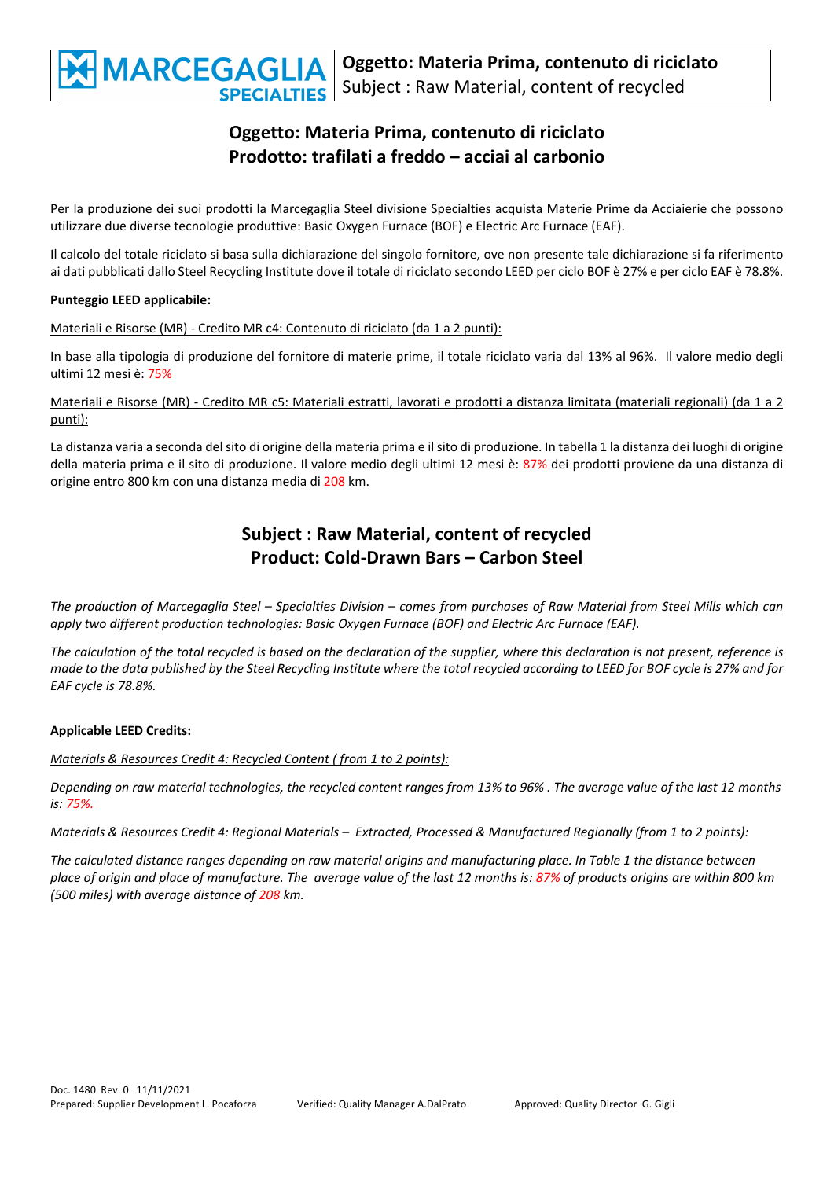

## **Oggetto: Materia Prima, contenuto di riciclato Prodotto: trafilati a freddo – acciai al carbonio**

Per la produzione dei suoi prodotti la Marcegaglia Steel divisione Specialties acquista Materie Prime da Acciaierie che possono utilizzare due diverse tecnologie produttive: Basic Oxygen Furnace (BOF) e Electric Arc Furnace (EAF).

Il calcolo del totale riciclato si basa sulla dichiarazione del singolo fornitore, ove non presente tale dichiarazione si fa riferimento ai dati pubblicati dallo Steel Recycling Institute dove il totale di riciclato secondo LEED per ciclo BOF è 27% e per ciclo EAF è 78.8%.

#### **Punteggio LEED applicabile:**

Materiali e Risorse (MR) ‐ Credito MR c4: Contenuto di riciclato (da 1 a 2 punti):

In base alla tipologia di produzione del fornitore di materie prime, il totale riciclato varia dal 13% al 96%. Il valore medio degli ultimi 12 mesi è: 75%

Materiali e Risorse (MR) ‐ Credito MR c5: Materiali estratti, lavorati e prodotti a distanza limitata (materiali regionali) (da 1 a 2 punti):

La distanza varia a seconda del sito di origine della materia prima e il sito di produzione. In tabella 1 la distanza dei luoghi di origine della materia prima e il sito di produzione. Il valore medio degli ultimi 12 mesi è: 87% dei prodotti proviene da una distanza di origine entro 800 km con una distanza media di 208 km.

### **Subject : Raw Material, content of recycled Product: Cold‐Drawn Bars – Carbon Steel**

The production of Marcegaglia Steel - Specialties Division - comes from purchases of Raw Material from Steel Mills which can *apply two different production technologies: Basic Oxygen Furnace (BOF) and Electric Arc Furnace (EAF).*

The calculation of the total recycled is based on the declaration of the supplier, where this declaration is not present, reference is made to the data published by the Steel Recyclina Institute where the total recycled accordina to LEED for BOF cycle is 27% and for *EAF cycle is 78.8%.*

#### **Applicable LEED Credits:**

*Materials & Resources Credit 4: Recycled Content ( from 1 to 2 points):*

Depending on raw material technologies, the recycled content ranges from 13% to 96%. The average value of the last 12 months *is: 75%.*

Materials & Resources Credit 4: Regional Materials - Extracted, Processed & Manufactured Regionally (from 1 to 2 points):

The calculated distance ranges depending on raw material origins and manufacturing place. In Table 1 the distance between place of origin and place of manufacture. The average value of the last 12 months is: 87% of products origins are within 800 km *(500 miles) with average distance of 208 km.*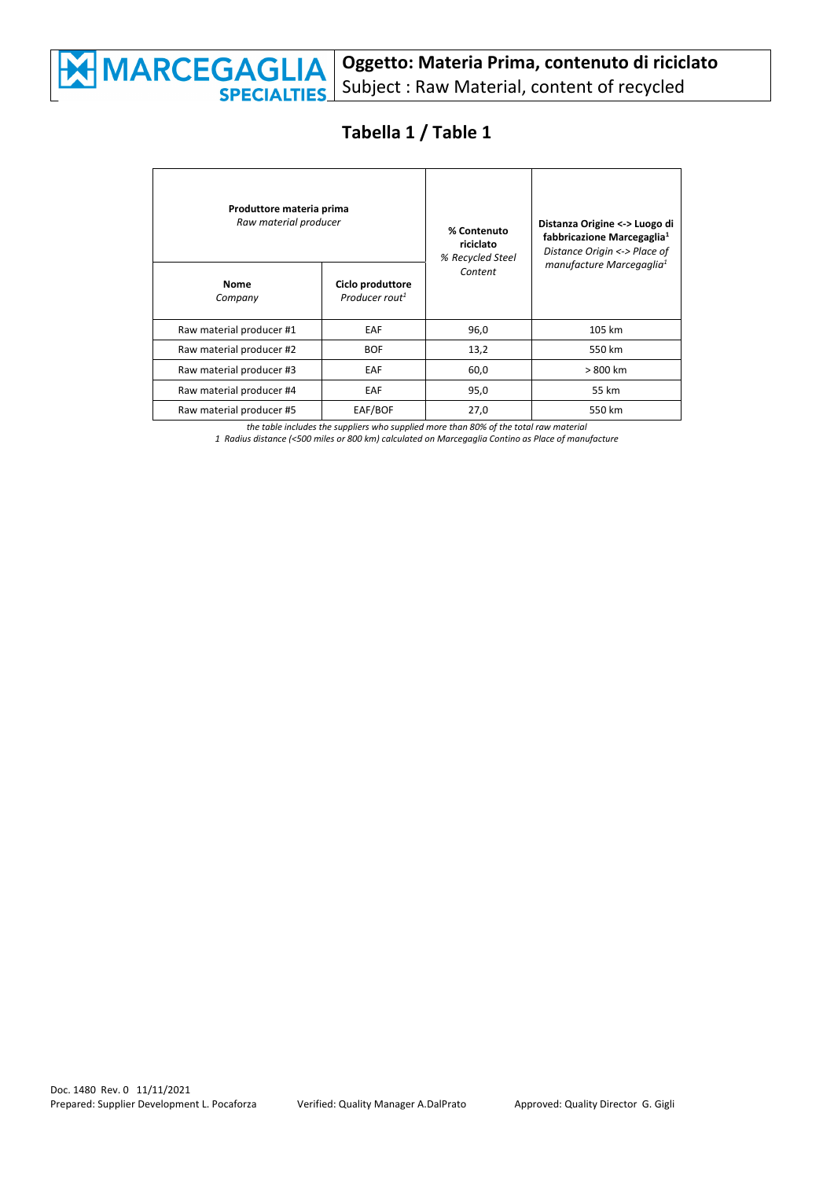

## **Tabella 1 / Table 1**

| Produttore materia prima<br>Raw material producer |                                                | % Contenuto<br>riciclato<br>% Recycled Steel | Distanza Origine <-> Luogo di<br>fabbricazione Marcegaglia <sup>1</sup><br>Distance Origin <-> Place of |
|---------------------------------------------------|------------------------------------------------|----------------------------------------------|---------------------------------------------------------------------------------------------------------|
| <b>Nome</b><br>Company                            | Ciclo produttore<br>Producer rout <sup>1</sup> | Content                                      | manufacture Marcegaglia <sup>1</sup>                                                                    |
| Raw material producer #1                          | EAF                                            | 96,0                                         | 105 km                                                                                                  |
| Raw material producer #2                          | <b>BOF</b>                                     | 13,2                                         | 550 km                                                                                                  |
| Raw material producer #3                          | EAF                                            | 60,0                                         | > 800 km                                                                                                |
| Raw material producer #4                          | EAF                                            | 95,0                                         | 55 km                                                                                                   |
| Raw material producer #5                          | EAF/BOF                                        | 27,0                                         | 550 km                                                                                                  |

*the table includes the suppliers who supplied more than 80% of the total raw material 1 Radius distance (<500 miles or 800 km) calculated on Marcegaglia Contino as Place of manufacture*